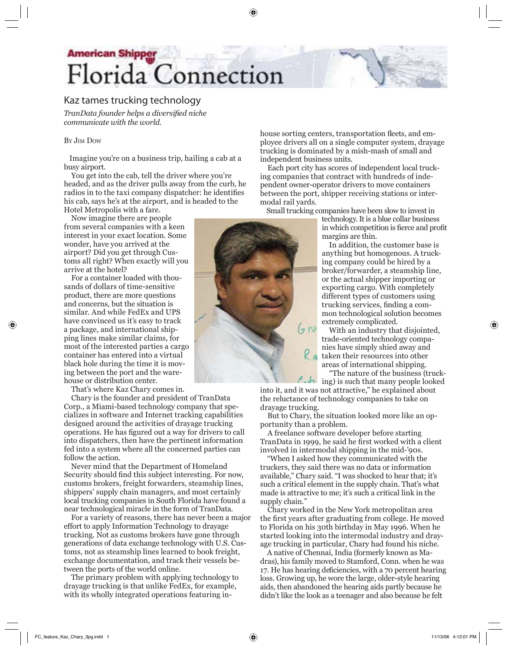# **American Shipper** Florida Connection

## **Kaz tames trucking technology**

*TranData founder helps a diversified niche communicate with the world.*

#### BY JIM DOW

⊕

 Imagine you're on a business trip, hailing a cab at a busy airport.

 You get into the cab, tell the driver where you're headed, and as the driver pulls away from the curb, he radios in to the taxi company dispatcher: he identifies his cab, says he's at the airport, and is headed to the Hotel Metropolis with a fare.

 Now imagine there are people from several companies with a keen interest in your exact location. Some wonder, have you arrived at the airport? Did you get through Customs all right? When exactly will you arrive at the hotel?

 For a container loaded with thousands of dollars of time-sensitive product, there are more questions and concerns, but the situation is similar. And while FedEx and UPS have convinced us it's easy to track a package, and international shipping lines make similar claims, for most of the interested parties a cargo container has entered into a virtual black hole during the time it is moving between the port and the warehouse or distribution center.

That's where Kaz Chary comes in.

 Chary is the founder and president of TranData Corp., a Miami-based technology company that specializes in software and Internet tracking capabilities designed around the activities of drayage trucking operations. He has figured out a way for drivers to call into dispatchers, then have the pertinent information fed into a system where all the concerned parties can follow the action.

 Never mind that the Department of Homeland Security should find this subject interesting. For now, customs brokers, freight forwarders, steamship lines, shippers' supply chain managers, and most certainly local trucking companies in South Florida have found a near technological miracle in the form of TranData.

 For a variety of reasons, there has never been a major effort to apply Information Technology to drayage trucking. Not as customs brokers have gone through generations of data exchange technology with U.S. Customs, not as steamship lines learned to book freight, exchange documentation, and track their vessels between the ports of the world online.

 The primary problem with applying technology to drayage trucking is that unlike FedEx, for example, with its wholly integrated operations featuring inhouse sorting centers, transportation fleets, and employee drivers all on a single computer system, drayage trucking is dominated by a mish-mash of small and independent business units.

 Each port city has scores of independent local trucking companies that contract with hundreds of independent owner-operator drivers to move containers between the port, shipper receiving stations or intermodal rail yards.

Small trucking companies have been slow to invest in

technology. It is a blue collar business in which competition is fierce and profit margins are thin.

 In addition, the customer base is anything but homogenous. A trucking company could be hired by a broker/forwarder, a steamship line, or the actual shipper importing or exporting cargo. With completely different types of customers using trucking services, finding a common technological solution becomes extremely complicated.

 With an industry that disjointed, trade-oriented technology companies have simply shied away and taken their resources into other areas of international shipping.

 "The nature of the business (trucking) is such that many people looked

into it, and it was not attractive," he explained about the reluctance of technology companies to take on drayage trucking.

 But to Chary, the situation looked more like an opportunity than a problem.

 A freelance software developer before starting TranData in 1999, he said he first worked with a client involved in intermodal shipping in the mid-'90s.

 "When I asked how they communicated with the truckers, they said there was no data or information available," Chary said. "I was shocked to hear that; it's such a critical element in the supply chain. That's what made is attractive to me; it's such a critical link in the supply chain."

 Chary worked in the New York metropolitan area the first years after graduating from college. He moved to Florida on his 30th birthday in May 1996. When he started looking into the intermodal industry and drayage trucking in particular, Chary had found his niche.

 A native of Chennai, India (formerly known as Madras), his family moved to Stamford, Conn. when he was 17. He has hearing deficiencies, with a 70 percent hearing loss. Growing up, he wore the large, older-style hearing aids, then abandoned the hearing aids partly because he didn't like the look as a teenager and also because he felt



⊕